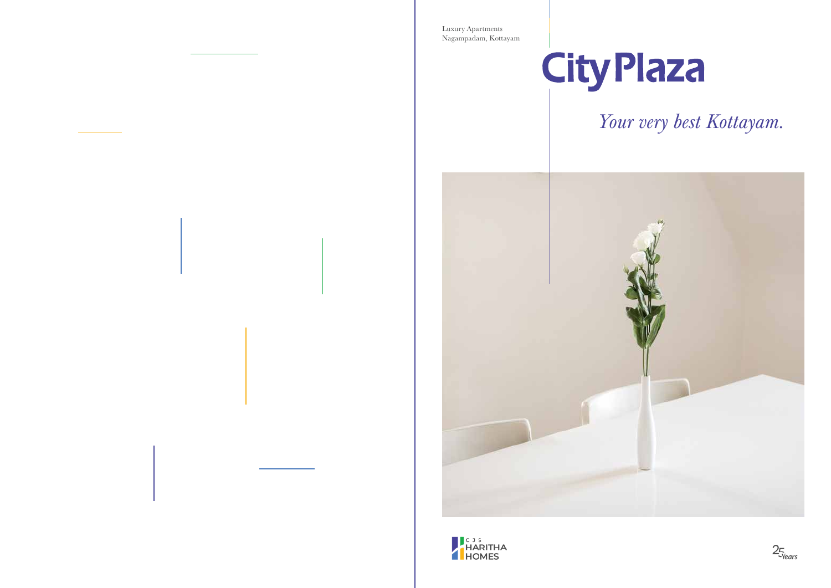Nagampadam, Kottayam Luxury Apartments



*Your very best Kottayam.*





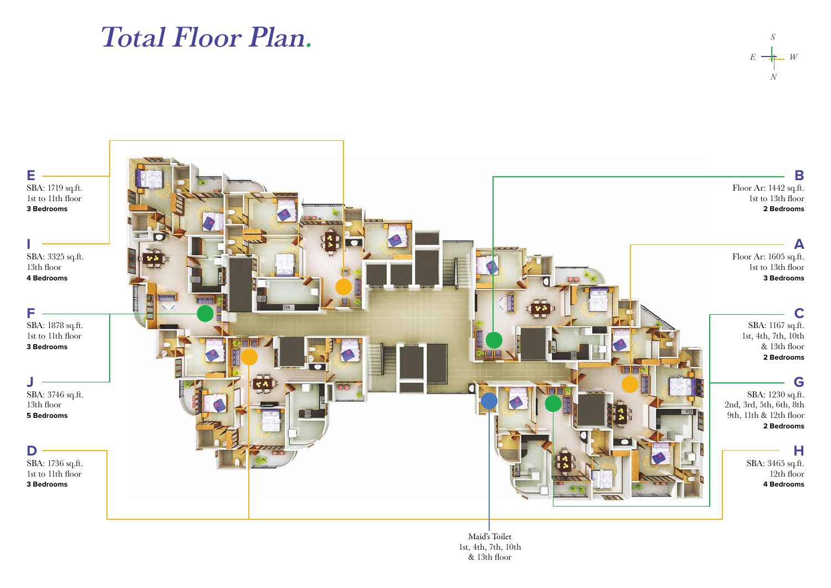## Total Floor Plan.



Maid's Toilet 1st, 4th, 7th, 10th & 13th floor

*N*

*S*

*E W*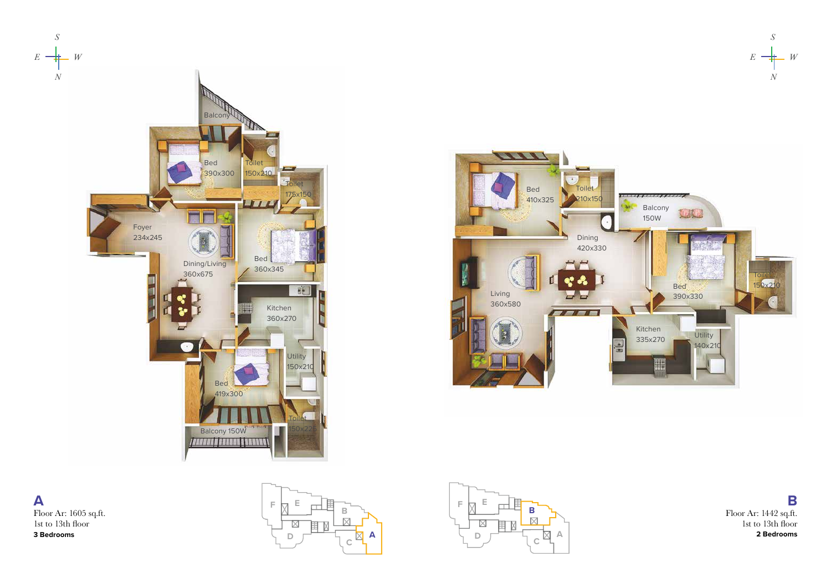





**A** Floor Ar: 1605 sq.ft. 1st to 13th floor **3 Bedrooms**





**B** Floor Ar: 1442 sq.ft. 1st to 13th floor **2 Bedrooms**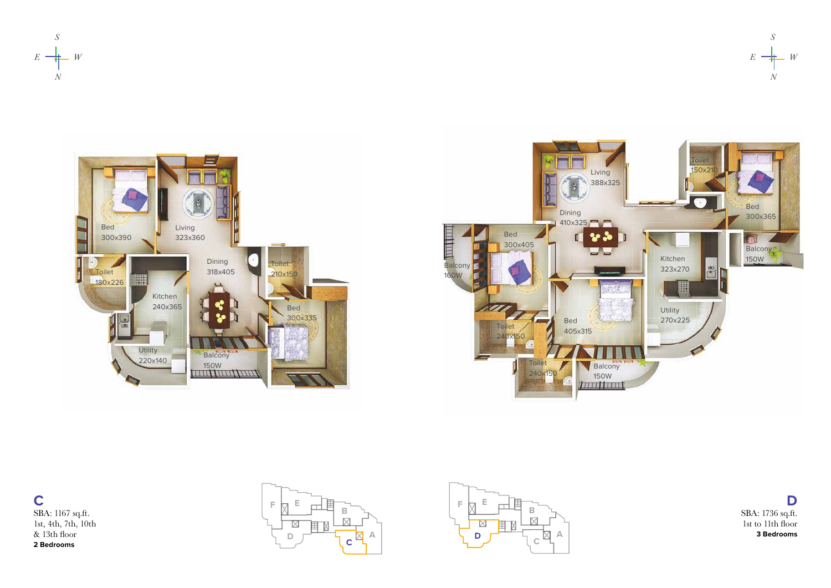







**C** SBA: 1167 sq.ft. 1st, 4th, 7th, 10th & 13th floor **2 Bedrooms**





**D** SBA: 1736 sq.ft. 1st to 11th floor **3 Bedrooms**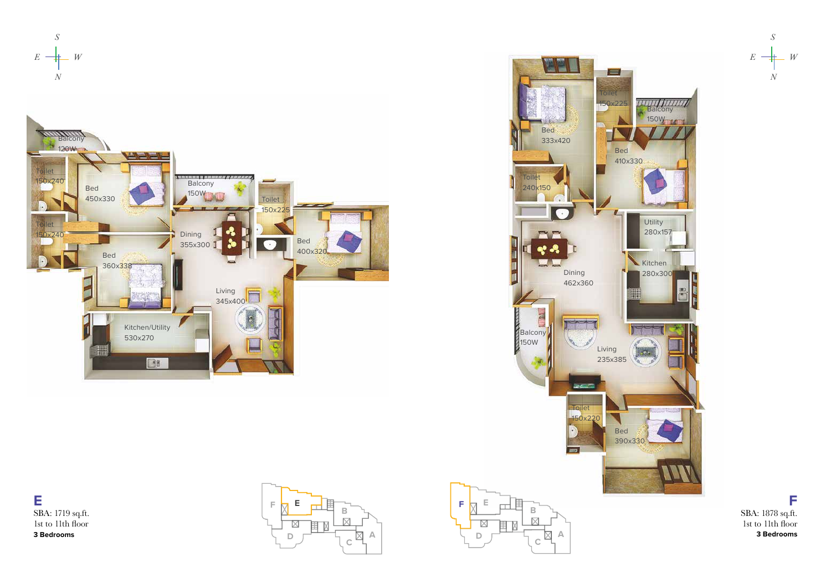



**E** SBA: 1719 sq.ft. 1st to 11th floor **3 Bedrooms**



**F** SBA: 1878 sq.ft. 1st to 11th floor **3 Bedrooms**

*N*

 $E \rightarrow W$ 

*S*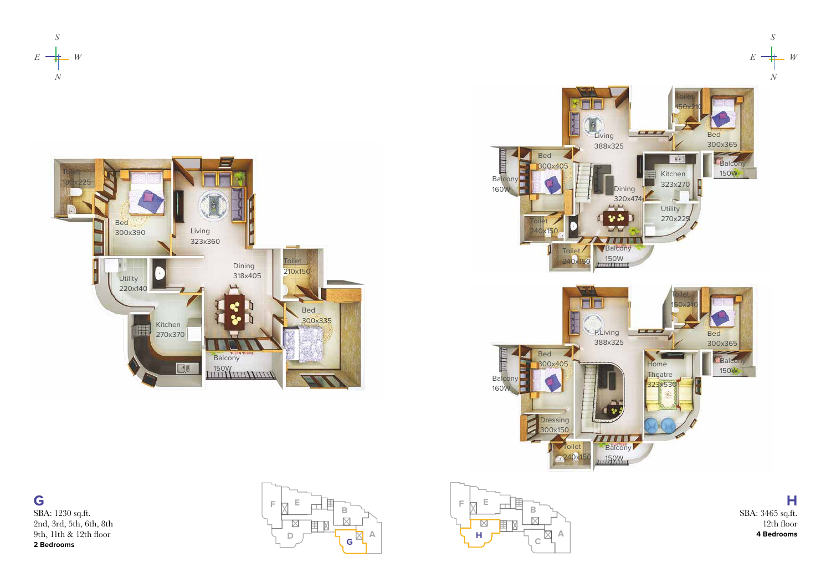







**G** SBA: 1230 sq.ft. 2nd, 3rd, 5th, 6th, 8th 9th, 11th & 12th floor **2 Bedrooms**





**H** SBA: 3465 sq.ft. 12th floor **4 Bedrooms**

*S*

 $E \rightarrow W$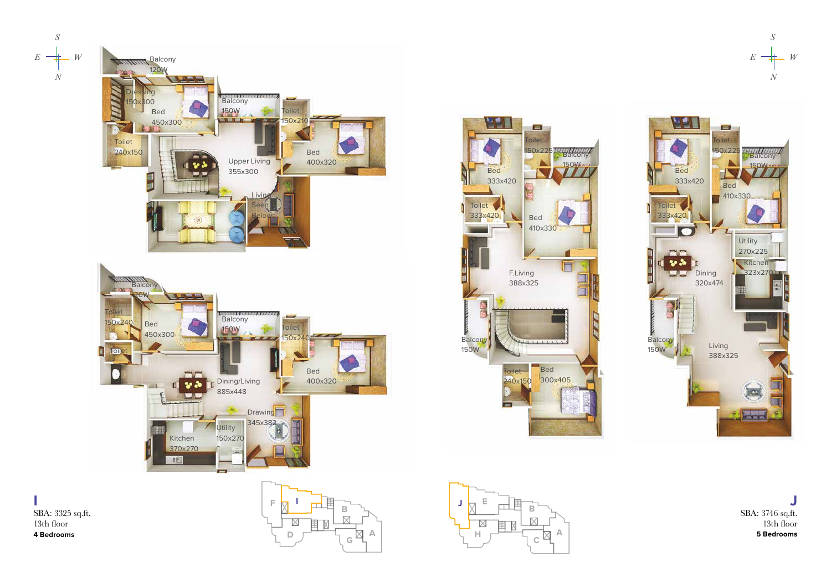

**I** SBA: 3325 sq.ft. 13th floor **4 Bedrooms**









**J** SBA: 3746 sq.ft. 13th floor **5 Bedrooms**